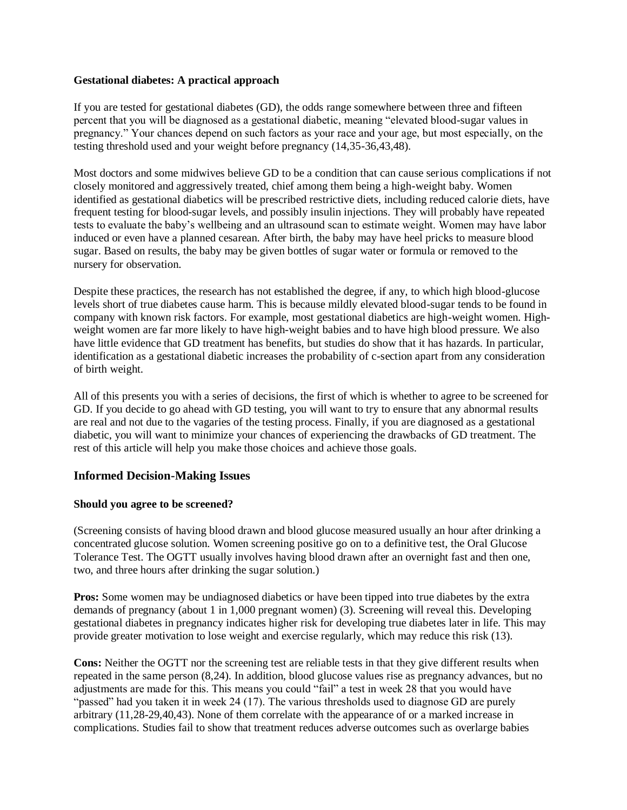#### **Gestational diabetes: A practical approach**

If you are tested for gestational diabetes (GD), the odds range somewhere between three and fifteen percent that you will be diagnosed as a gestational diabetic, meaning "elevated blood-sugar values in pregnancy." Your chances depend on such factors as your race and your age, but most especially, on the testing threshold used and your weight before pregnancy (14,35-36,43,48).

Most doctors and some midwives believe GD to be a condition that can cause serious complications if not closely monitored and aggressively treated, chief among them being a high-weight baby. Women identified as gestational diabetics will be prescribed restrictive diets, including reduced calorie diets, have frequent testing for blood-sugar levels, and possibly insulin injections. They will probably have repeated tests to evaluate the baby's wellbeing and an ultrasound scan to estimate weight. Women may have labor induced or even have a planned cesarean. After birth, the baby may have heel pricks to measure blood sugar. Based on results, the baby may be given bottles of sugar water or formula or removed to the nursery for observation.

Despite these practices, the research has not established the degree, if any, to which high blood-glucose levels short of true diabetes cause harm. This is because mildly elevated blood-sugar tends to be found in company with known risk factors. For example, most gestational diabetics are high-weight women. Highweight women are far more likely to have high-weight babies and to have high blood pressure. We also have little evidence that GD treatment has benefits, but studies do show that it has hazards. In particular, identification as a gestational diabetic increases the probability of c-section apart from any consideration of birth weight.

All of this presents you with a series of decisions, the first of which is whether to agree to be screened for GD. If you decide to go ahead with GD testing, you will want to try to ensure that any abnormal results are real and not due to the vagaries of the testing process. Finally, if you are diagnosed as a gestational diabetic, you will want to minimize your chances of experiencing the drawbacks of GD treatment. The rest of this article will help you make those choices and achieve those goals.

#### **Informed Decision-Making Issues**

#### **Should you agree to be screened?**

(Screening consists of having blood drawn and blood glucose measured usually an hour after drinking a concentrated glucose solution. Women screening positive go on to a definitive test, the Oral Glucose Tolerance Test. The OGTT usually involves having blood drawn after an overnight fast and then one, two, and three hours after drinking the sugar solution.)

**Pros:** Some women may be undiagnosed diabetics or have been tipped into true diabetes by the extra demands of pregnancy (about 1 in 1,000 pregnant women) (3). Screening will reveal this. Developing gestational diabetes in pregnancy indicates higher risk for developing true diabetes later in life. This may provide greater motivation to lose weight and exercise regularly, which may reduce this risk (13).

**Cons:** Neither the OGTT nor the screening test are reliable tests in that they give different results when repeated in the same person (8,24). In addition, blood glucose values rise as pregnancy advances, but no adjustments are made for this. This means you could "fail" a test in week 28 that you would have "passed" had you taken it in week 24 (17). The various thresholds used to diagnose GD are purely arbitrary (11,28-29,40,43). None of them correlate with the appearance of or a marked increase in complications. Studies fail to show that treatment reduces adverse outcomes such as overlarge babies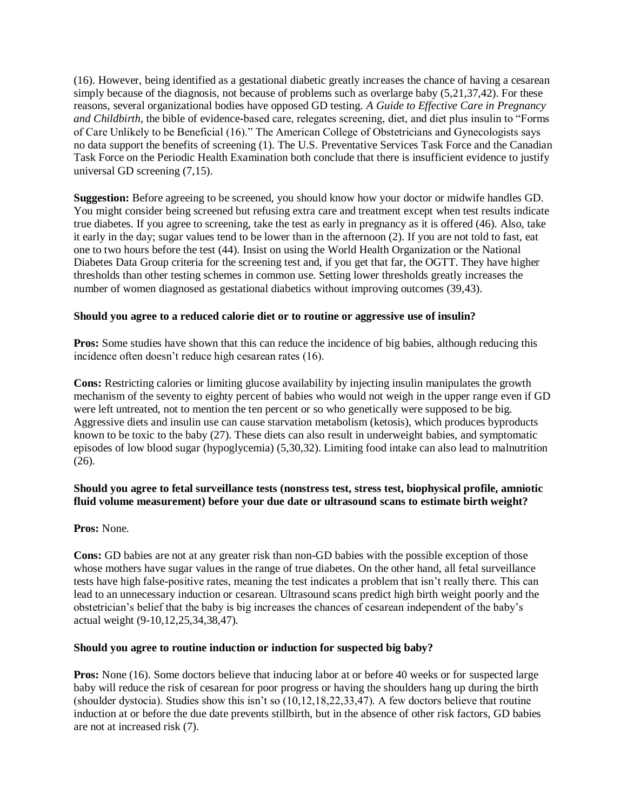(16). However, being identified as a gestational diabetic greatly increases the chance of having a cesarean simply because of the diagnosis, not because of problems such as overlarge baby (5,21,37,42). For these reasons, several organizational bodies have opposed GD testing. *A Guide to Effective Care in Pregnancy and Childbirth*, the bible of evidence-based care, relegates screening, diet, and diet plus insulin to "Forms of Care Unlikely to be Beneficial (16)." The American College of Obstetricians and Gynecologists says no data support the benefits of screening (1). The U.S. Preventative Services Task Force and the Canadian Task Force on the Periodic Health Examination both conclude that there is insufficient evidence to justify universal GD screening (7,15).

**Suggestion:** Before agreeing to be screened, you should know how your doctor or midwife handles GD. You might consider being screened but refusing extra care and treatment except when test results indicate true diabetes. If you agree to screening, take the test as early in pregnancy as it is offered (46). Also, take it early in the day; sugar values tend to be lower than in the afternoon (2). If you are not told to fast, eat one to two hours before the test (44). Insist on using the World Health Organization or the National Diabetes Data Group criteria for the screening test and, if you get that far, the OGTT. They have higher thresholds than other testing schemes in common use. Setting lower thresholds greatly increases the number of women diagnosed as gestational diabetics without improving outcomes (39,43).

#### **Should you agree to a reduced calorie diet or to routine or aggressive use of insulin?**

**Pros:** Some studies have shown that this can reduce the incidence of big babies, although reducing this incidence often doesn't reduce high cesarean rates (16).

**Cons:** Restricting calories or limiting glucose availability by injecting insulin manipulates the growth mechanism of the seventy to eighty percent of babies who would not weigh in the upper range even if GD were left untreated, not to mention the ten percent or so who genetically were supposed to be big. Aggressive diets and insulin use can cause starvation metabolism (ketosis), which produces byproducts known to be toxic to the baby (27). These diets can also result in underweight babies, and symptomatic episodes of low blood sugar (hypoglycemia) (5,30,32). Limiting food intake can also lead to malnutrition (26).

# **Should you agree to fetal surveillance tests (nonstress test, stress test, biophysical profile, amniotic fluid volume measurement) before your due date or ultrasound scans to estimate birth weight?**

#### **Pros:** None.

**Cons:** GD babies are not at any greater risk than non-GD babies with the possible exception of those whose mothers have sugar values in the range of true diabetes. On the other hand, all fetal surveillance tests have high false-positive rates, meaning the test indicates a problem that isn't really there. This can lead to an unnecessary induction or cesarean. Ultrasound scans predict high birth weight poorly and the obstetrician's belief that the baby is big increases the chances of cesarean independent of the baby's actual weight (9-10,12,25,34,38,47).

#### **Should you agree to routine induction or induction for suspected big baby?**

**Pros:** None (16). Some doctors believe that inducing labor at or before 40 weeks or for suspected large baby will reduce the risk of cesarean for poor progress or having the shoulders hang up during the birth (shoulder dystocia). Studies show this isn't so (10,12,18,22,33,47). A few doctors believe that routine induction at or before the due date prevents stillbirth, but in the absence of other risk factors, GD babies are not at increased risk (7).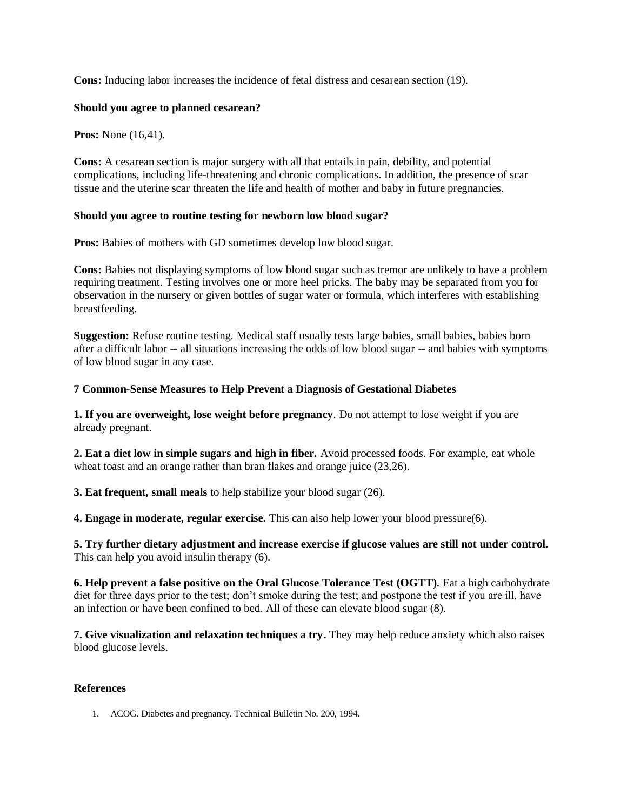**Cons:** Inducing labor increases the incidence of fetal distress and cesarean section (19).

### **Should you agree to planned cesarean?**

**Pros:** None (16,41).

**Cons:** A cesarean section is major surgery with all that entails in pain, debility, and potential complications, including life-threatening and chronic complications. In addition, the presence of scar tissue and the uterine scar threaten the life and health of mother and baby in future pregnancies.

#### **Should you agree to routine testing for newborn low blood sugar?**

**Pros:** Babies of mothers with GD sometimes develop low blood sugar.

**Cons:** Babies not displaying symptoms of low blood sugar such as tremor are unlikely to have a problem requiring treatment. Testing involves one or more heel pricks. The baby may be separated from you for observation in the nursery or given bottles of sugar water or formula, which interferes with establishing breastfeeding.

**Suggestion:** Refuse routine testing. Medical staff usually tests large babies, small babies, babies born after a difficult labor -- all situations increasing the odds of low blood sugar -- and babies with symptoms of low blood sugar in any case.

## **7 Common-Sense Measures to Help Prevent a Diagnosis of Gestational Diabetes**

**1. If you are overweight, lose weight before pregnancy**. Do not attempt to lose weight if you are already pregnant.

**2. Eat a diet low in simple sugars and high in fiber.** Avoid processed foods. For example, eat whole wheat toast and an orange rather than bran flakes and orange juice  $(23,26)$ .

**3. Eat frequent, small meals** to help stabilize your blood sugar (26).

**4. Engage in moderate, regular exercise.** This can also help lower your blood pressure(6).

**5. Try further dietary adjustment and increase exercise if glucose values are still not under control.** This can help you avoid insulin therapy (6).

**6. Help prevent a false positive on the Oral Glucose Tolerance Test (OGTT).** Eat a high carbohydrate diet for three days prior to the test; don't smoke during the test; and postpone the test if you are ill, have an infection or have been confined to bed. All of these can elevate blood sugar (8).

**7. Give visualization and relaxation techniques a try.** They may help reduce anxiety which also raises blood glucose levels.

#### **References**

1. ACOG. Diabetes and pregnancy. Technical Bulletin No. 200, 1994.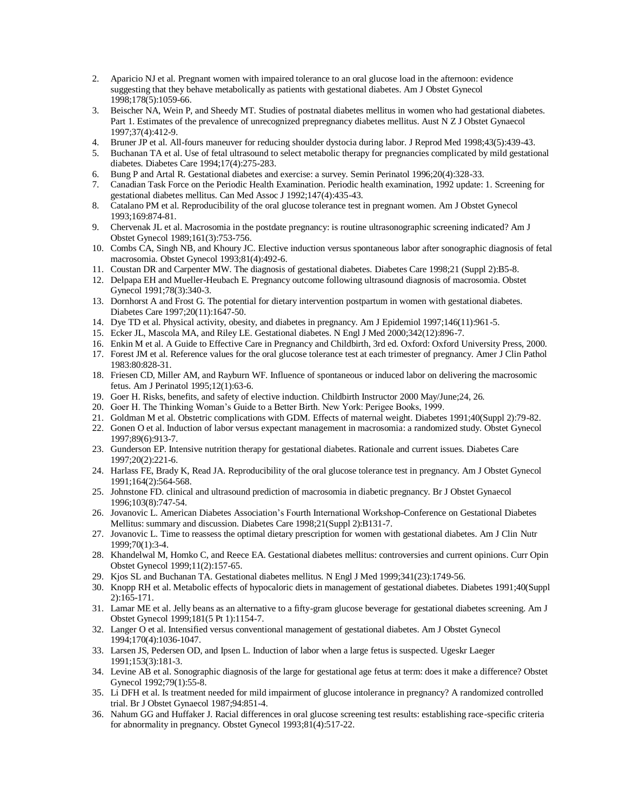- 2. Aparicio NJ et al. Pregnant women with impaired tolerance to an oral glucose load in the afternoon: evidence suggesting that they behave metabolically as patients with gestational diabetes. Am J Obstet Gynecol 1998;178(5):1059-66.
- 3. Beischer NA, Wein P, and Sheedy MT. Studies of postnatal diabetes mellitus in women who had gestational diabetes. Part 1. Estimates of the prevalence of unrecognized prepregnancy diabetes mellitus. Aust N Z J Obstet Gynaecol 1997;37(4):412-9.
- 4. Bruner JP et al. All-fours maneuver for reducing shoulder dystocia during labor. J Reprod Med 1998;43(5):439-43.
- 5. Buchanan TA et al. Use of fetal ultrasound to select metabolic therapy for pregnancies complicated by mild gestational diabetes. Diabetes Care 1994;17(4):275-283.
- 6. Bung P and Artal R. Gestational diabetes and exercise: a survey. Semin Perinatol 1996;20(4):328-33.
- 7. Canadian Task Force on the Periodic Health Examination. Periodic health examination, 1992 update: 1. Screening for gestational diabetes mellitus. Can Med Assoc J 1992;147(4):435-43.
- 8. Catalano PM et al. Reproducibility of the oral glucose tolerance test in pregnant women. Am J Obstet Gynecol 1993;169:874-81.
- 9. Chervenak JL et al. Macrosomia in the postdate pregnancy: is routine ultrasonographic screening indicated? Am J Obstet Gynecol 1989;161(3):753-756.
- 10. Combs CA, Singh NB, and Khoury JC. Elective induction versus spontaneous labor after sonographic diagnosis of fetal macrosomia. Obstet Gynecol 1993;81(4):492-6.
- 11. Coustan DR and Carpenter MW. The diagnosis of gestational diabetes. Diabetes Care 1998;21 (Suppl 2):B5-8.
- 12. Delpapa EH and Mueller-Heubach E. Pregnancy outcome following ultrasound diagnosis of macrosomia. Obstet Gynecol 1991;78(3):340-3.
- 13. Dornhorst A and Frost G. The potential for dietary intervention postpartum in women with gestational diabetes. Diabetes Care 1997;20(11):1647-50.
- 14. Dye TD et al. Physical activity, obesity, and diabetes in pregnancy. Am J Epidemiol 1997;146(11):961-5.
- 15. Ecker JL, Mascola MA, and Riley LE. Gestational diabetes. N Engl J Med 2000;342(12):896-7.
- 16. Enkin M et al. A Guide to Effective Care in Pregnancy and Childbirth, 3rd ed. Oxford: Oxford University Press, 2000.
- 17. Forest JM et al. Reference values for the oral glucose tolerance test at each trimester of pregnancy. Amer J Clin Pathol 1983:80:828-31.
- 18. Friesen CD, Miller AM, and Rayburn WF. Influence of spontaneous or induced labor on delivering the macrosomic fetus. Am J Perinatol 1995;12(1):63-6.
- 19. Goer H. Risks, benefits, and safety of elective induction. Childbirth Instructor 2000 May/June;24, 26.
- 20. Goer H. The Thinking Woman's Guide to a Better Birth. New York: Perigee Books, 1999.
- 21. Goldman M et al. Obstetric complications with GDM. Effects of maternal weight. Diabetes 1991;40(Suppl 2):79-82.
- 22. Gonen O et al. Induction of labor versus expectant management in macrosomia: a randomized study. Obstet Gynecol 1997;89(6):913-7.
- 23. Gunderson EP. Intensive nutrition therapy for gestational diabetes. Rationale and current issues. Diabetes Care 1997;20(2):221-6.
- 24. Harlass FE, Brady K, Read JA. Reproducibility of the oral glucose tolerance test in pregnancy. Am J Obstet Gynecol 1991;164(2):564-568.
- 25. Johnstone FD. clinical and ultrasound prediction of macrosomia in diabetic pregnancy. Br J Obstet Gynaecol 1996;103(8):747-54.
- 26. Jovanovic L. American Diabetes Association's Fourth International Workshop-Conference on Gestational Diabetes Mellitus: summary and discussion. Diabetes Care 1998;21(Suppl 2):B131-7.
- 27. Jovanovic L. Time to reassess the optimal dietary prescription for women with gestational diabetes. Am J Clin Nutr 1999;70(1):3-4.
- 28. Khandelwal M, Homko C, and Reece EA. Gestational diabetes mellitus: controversies and current opinions. Curr Opin Obstet Gynecol 1999;11(2):157-65.
- 29. Kjos SL and Buchanan TA. Gestational diabetes mellitus. N Engl J Med 1999;341(23):1749-56.
- 30. Knopp RH et al. Metabolic effects of hypocaloric diets in management of gestational diabetes. Diabetes 1991;40(Suppl 2):165-171.
- 31. Lamar ME et al. Jelly beans as an alternative to a fifty-gram glucose beverage for gestational diabetes screening. Am J Obstet Gynecol 1999;181(5 Pt 1):1154-7.
- 32. Langer O et al. Intensified versus conventional management of gestational diabetes. Am J Obstet Gynecol 1994;170(4):1036-1047.
- 33. Larsen JS, Pedersen OD, and Ipsen L. Induction of labor when a large fetus is suspected. Ugeskr Laeger 1991;153(3):181-3.
- 34. Levine AB et al. Sonographic diagnosis of the large for gestational age fetus at term: does it make a difference? Obstet Gynecol 1992;79(1):55-8.
- 35. Li DFH et al. Is treatment needed for mild impairment of glucose intolerance in pregnancy? A randomized controlled trial. Br J Obstet Gynaecol 1987;94:851-4.
- 36. Nahum GG and Huffaker J. Racial differences in oral glucose screening test results: establishing race-specific criteria for abnormality in pregnancy. Obstet Gynecol 1993;81(4):517-22.